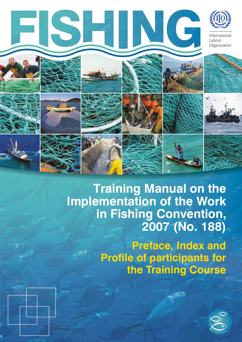

**Training Manual on the Implementation of the Work in Fishing Convention, 2007 (No. 188)**

> **Preface, Index and Profile of participants for the Training Course**

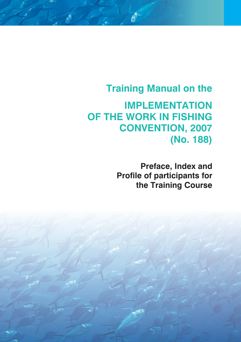# **Training Manual on the**

**IMPLEMENTATION OF THE WORK IN FISHING CONVENTION, 2007 (No. 188)**

> **Preface, Index and Profile of participants for the Training Course**

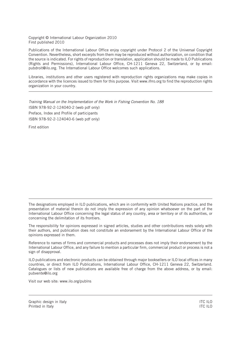Copyright © International Labour Organization 2010 First published 2010

Publications of the International Labour Office enjoy copyright under Protocol 2 of the Universal Copyright Convention. Nevertheless, short excerpts from them may be reproduced without authorization, on condition that the source is indicated. For rights of reproduction or translation, application should be made to ILO Publications (Rights and Permissions), International Labour Office, CH-1211 Geneva 22, Switzerland, or by email: pubdroit@ilo.org. The International Labour Office welcomes such applications.

Libraries, institutions and other users registered with reproduction rights organizations may make copies in accordance with the licences issued to them for this purpose. Visit www.ifrro.org to find the reproduction rights organization in your country.

Training Manual on the Implementation of the Work in Fishing Convention No. 188 ISBN 978-92-2-124040-2 (web pdf only) Preface, Index and Profile of participants ISBN 978-92-2-124040-6 (web pdf only)

First edition

The designations employed in ILO publications, which are in conformity with United Nations practice, and the presentation of material therein do not imply the expression of any opinion whatsoever on the part of the International Labour Office concerning the legal status of any country, area or territory or of its authorities, or concerning the delimitation of its frontiers.

The responsibility for opinions expressed in signed articles, studies and other contributions rests solely with their authors, and publication does not constitute an endorsement by the International Labour Office of the opinions expressed in them.

Reference to names of firms and commercial products and processes does not imply their endorsement by the International Labour Office, and any failure to mention a particular firm, commercial product or process is not a sign of disapproval.

ILO publications and electronic products can be obtained through major booksellers or ILO local offices in many countries, or direct from ILO Publications, International Labour Office, CH-1211 Geneva 22, Switzerland. Catalogues or lists of new publications are available free of charge from the above address, or by email: pubvente@ilo.org

Visit our web site: www.ilo.org/publns

Graphic design in Italy **ITC ILO**<br>Printed in Italy ITC ILO Printed in Italy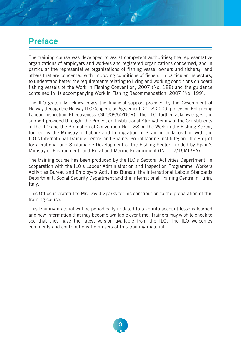#### **Preface**

The training course was developed to assist competent authorities; the representative organizations of employers and workers and registered organizations concerned, and in particular the representative organizations of fishing vessel owners and fishers; and others that are concerned with improving conditions of fishers, in particular inspectors, to understand better the requirements relating to living and working conditions on board fishing vessels of the Work in Fishing Convention, 2007 (No. 188) and the guidance contained in its accompanying Work in Fishing Recommendation, 2007 (No. 199).

The ILO gratefully acknowledges the financial support provided by the Government of Norway through the Norway-ILO Cooperation Agreement, 2008-2009, project on Enhancing Labour Inspection Effectiveness (GLO/09/50/NOR). The ILO further acknowledges the support provided through: the Project on Institutional Strengthening of the Constituents of the ILO and the Promotion of Convention No. 188 on the Work in the Fishing Sector, funded by the Ministry of Labour and Immigration of Spain in collaboration with the ILO's International Training Centre and Spain's Social Marine Institute; and the Project for a Rational and Sustainable Development of the Fishing Sector, funded by Spain's Ministry of Environment, and Rural and Marine Environment (INT107/16MISPA).

The training course has been produced by the ILO's Sectoral Activities Department, in cooperation with the ILO's Labour Administration and Inspection Programme, Workers Activities Bureau and Employers Activities Bureau, the International Labour Standards Department, Social Security Department and the International Training Centre in Turin, Italy.

This Office is grateful to Mr. David Sparks for his contribution to the preparation of this training course.

This training material will be periodically updated to take into account lessons learned and new information that may become available over time. Trainers may wish to check to see that they have the latest version available from the ILO. The ILO welcomes comments and contributions from users of this training material.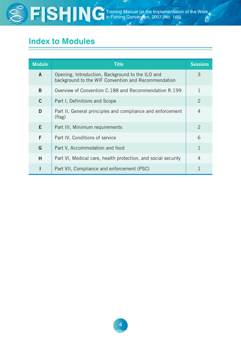

 $\frac{1}{10}$  Training Manual on the Input of the Input of the Implementation of the Input of the Work of the Work of the Work of the Input of the Input of the Input of the Input of the Input of the Input of the Input of the in Fishing Convention, 2007 (No. 188)

### **Index to Modules**

| <b>Module</b> | <b>Title</b>                                                                                            | <b>Sessions</b> |
|---------------|---------------------------------------------------------------------------------------------------------|-----------------|
| $\mathbf{A}$  | Opening. Introduction, Background to the ILO and<br>background to the WIF Convention and Recommendation | 3               |
| B             | Overview of Convention C.188 and Recommendation R.199                                                   |                 |
| $\mathbf{C}$  | Part I, Definitions and Scope                                                                           | 2               |
| D             | Part II, General principles and compliance and enforcement<br>(flag)                                    | 4               |
| E.            | Part III, Minimum requirements                                                                          | 2               |
| F             | Part IV, Conditions of service                                                                          | 6               |
| G             | Part V, Accommodation and food                                                                          | 1               |
| H             | Part VI, Medical care, health protection, and social security                                           | 4               |
|               | Part VII, Compliance and enforcement (PSC)                                                              |                 |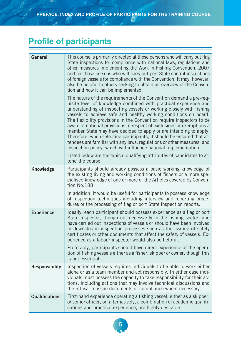## **Profile of participants**

| <b>General</b>        | This course is primarily directed at those persons who will carry out flag<br>State inspections for compliance with national laws, regulations and<br>other measures implementing the Work in Fishing Convention, 2007<br>and for those persons who will carry out port State control inspections<br>of foreign vessels for compliance with the Convention. It may, however,<br>also be helpful to others seeking to obtain an overview of the Conven-<br>tion and how it can be implemented.<br>The nature of the requirements of the Convention demand a pre-req-<br>uisite level of knowledge combined with practical experience and<br>understanding of inspecting vessels or working closely with fishing<br>vessels to achieve safe and healthy working conditions on board.<br>The flexibility provisions in the Convention require inspectors to be<br>aware of national provisions in respect of exclusions or exemptions a<br>member State may have decided to apply or are intending to apply.<br>Therefore, when selecting participants, it should be ensured that at-<br>tendees are familiar with any laws, regulations or other measures, and<br>inspection policy, which will influence national implementation.<br>Listed below are the typical qualifying attributes of candidates to at-<br>tend the course. |
|-----------------------|---------------------------------------------------------------------------------------------------------------------------------------------------------------------------------------------------------------------------------------------------------------------------------------------------------------------------------------------------------------------------------------------------------------------------------------------------------------------------------------------------------------------------------------------------------------------------------------------------------------------------------------------------------------------------------------------------------------------------------------------------------------------------------------------------------------------------------------------------------------------------------------------------------------------------------------------------------------------------------------------------------------------------------------------------------------------------------------------------------------------------------------------------------------------------------------------------------------------------------------------------------------------------------------------------------------------------------|
| <b>Knowledge</b>      | Participants should already possess a basic working knowledge of<br>the existing living and working conditions of fishers or a more spe-<br>cialised knowledge of one or more of the Articles covered by Conven-<br>tion No.188.<br>In addition, it would be useful for participants to possess knowledge<br>of inspection techniques including interview and reporting proce-<br>dures or the processing of flag or port State inspection reports.                                                                                                                                                                                                                                                                                                                                                                                                                                                                                                                                                                                                                                                                                                                                                                                                                                                                             |
| <b>Experience</b>     | Ideally, each participant should possess experience as a flag or port<br>State inspector, though not necessarily in the fishing sector, and<br>have carried out inspections of vessels or should have been involved<br>in downstream inspection processes such as the issuing of safety<br>certificates or other documents that affect the safety of vessels. Ex-<br>perience as a labour inspector would also be helpful.<br>Preferably, participants should have direct experience of the opera-<br>tion of fishing vessels either as a fisher, skipper or owner, though this<br>is not essential.                                                                                                                                                                                                                                                                                                                                                                                                                                                                                                                                                                                                                                                                                                                            |
| <b>Responsibility</b> | Inspection of vessels requires individuals to be able to work either<br>alone or as a team member and act responsibly. In either case indi-<br>viduals must possess the capacity to take responsibility for their ac-<br>tions, including actions that may involve technical discussions and<br>the refusal to issue documents of compliance where necessary.                                                                                                                                                                                                                                                                                                                                                                                                                                                                                                                                                                                                                                                                                                                                                                                                                                                                                                                                                                   |
| <b>Qualifications</b> | First-hand experience operating a fishing vessel, either as a skipper,<br>or senior officer, or, alternatively, a combination of academic qualifi-<br>cations and practical experience, are highly desirable.                                                                                                                                                                                                                                                                                                                                                                                                                                                                                                                                                                                                                                                                                                                                                                                                                                                                                                                                                                                                                                                                                                                   |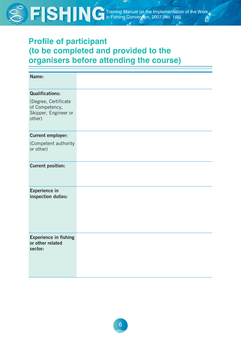

 $\frac{1}{10}$  Training Manual on the Input of the Input of the Implementation of the Input of the Work of the Work of the Work of the Input of the Input of the Input of the Input of the Input of the Input of the Input of the in Fishing Convention, 2007 (No. 188)

### **Profile of participant (to be completed and provided to the organisers before attending the course)**

| Name:                                                                    |  |
|--------------------------------------------------------------------------|--|
| <b>Qualifications:</b>                                                   |  |
| (Degree, Certificate<br>of Competency,<br>Skipper, Engineer or<br>other) |  |
| <b>Current employer:</b>                                                 |  |
| (Competent authority<br>or other)                                        |  |
| <b>Current position:</b>                                                 |  |
| <b>Experience in</b><br>inspection duties:                               |  |
| <b>Experience in fishing</b><br>or other related<br>sector:              |  |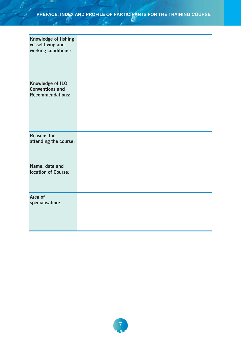**Contract Contract Contract Contract** 

| Knowledge of fishing<br>vessel living and<br>working conditions:             |  |
|------------------------------------------------------------------------------|--|
| <b>Knowledge of ILO</b><br><b>Conventions and</b><br><b>Recommendations:</b> |  |
| <b>Reasons for</b><br>attending the course:                                  |  |
| Name, date and<br><b>location of Course:</b>                                 |  |
| Area of<br>specialisation:                                                   |  |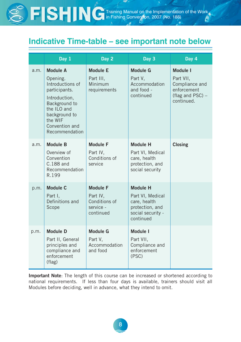### **Indicative Time-table – see important note below**

|      | Day 1                                                                                                                                                                             | Day 2                                                                  | Day 3                                                                                                    | Day 4                                                                                                |
|------|-----------------------------------------------------------------------------------------------------------------------------------------------------------------------------------|------------------------------------------------------------------------|----------------------------------------------------------------------------------------------------------|------------------------------------------------------------------------------------------------------|
| a.m. | <b>Module A</b><br>Opening.<br>Introductions of<br>participants.<br>Introduction,<br>Background to<br>the ILO and<br>background to<br>the WIF<br>Convention and<br>Recommendation | <b>Module E</b><br>Part III,<br>Minimum<br>requirements                | <b>Module G</b><br>Part V,<br>Accommodation<br>and food -<br>continued                                   | <b>Module I</b><br>Part VII,<br>Compliance and<br>enforcement<br>(flag and $PSC$ ) $-$<br>continued. |
| a.m. | <b>Module B</b><br>Overview of<br>Convention<br>C.188 and<br>Recommendation<br>R.199                                                                                              | <b>Module F</b><br>Part IV,<br>Conditions of<br>service                | <b>Module H</b><br>Part VI, Medical<br>care, health<br>protection, and<br>social security                | <b>Closing</b>                                                                                       |
| p.m. | <b>Module C</b><br>Part I,<br>Definitions and<br>Scope                                                                                                                            | <b>Module F</b><br>Part IV,<br>Conditions of<br>service -<br>continued | <b>Module H</b><br>Part VI, Medical<br>care, health<br>protection, and<br>social security -<br>continued |                                                                                                      |
| p.m. | <b>Module D</b><br>Part II, General<br>principles and<br>compliance and<br>enforcement<br>$_{\text{flag}}$                                                                        | <b>Module G</b><br>Part V,<br>Accommodation<br>and food                | <b>Module I</b><br>Part VII,<br>Compliance and<br>enforcement<br>(PSC)                                   |                                                                                                      |

**Important Note**: The length of this course can be increased or shortened according to national requirements. If less than four days is available, trainers should visit all Modules before deciding, well in advance, what they intend to omit.